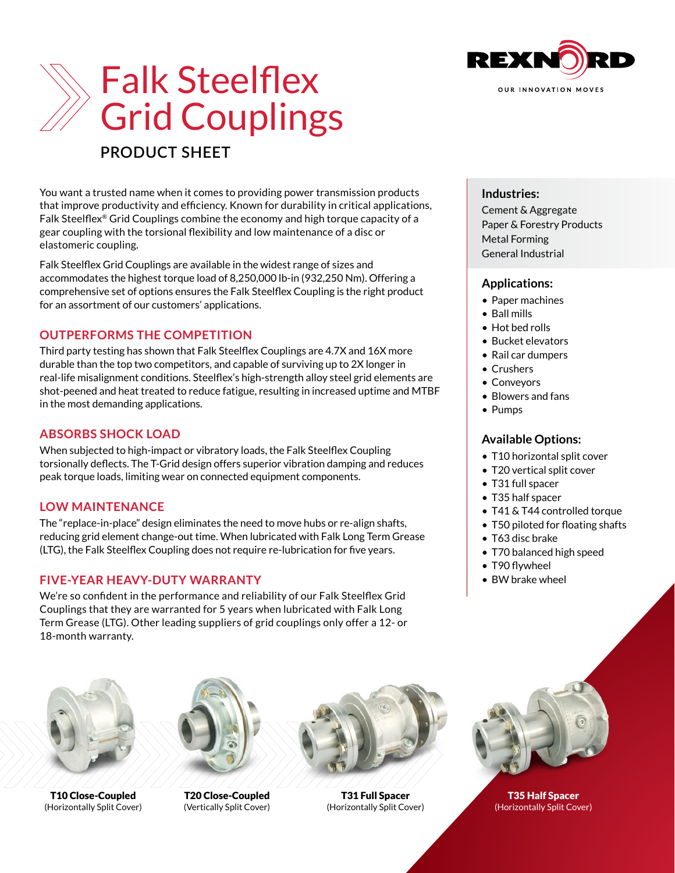

# **PRODUCT SHEET**

You want a trusted name when it comes to providing power transmission products that improve productivity and efficiency. Known for durability in critical applications, Falk Steelflex® Grid Couplings combine the economy and high torque capacity of a gear coupling with the torsional flexibility and low maintenance of a disc or elastomeric coupling.

Falk Steelflex Grid Couplings are available in the widest range of sizes and accommodates the highest torque load of 8,250,000 lb-in (932,250 Nm). Offering a comprehensive set of options ensures the Falk Steelflex Coupling is the right product for an assortment of our customers' applications.

# **OUTPERFORMS THE COMPETITION**

Third party testing has shown that Falk Steelflex Couplings are 4.7X and 16X more durable than the top two competitors, and capable of surviving up to 2X longer in real-life misalignment conditions. Steelflex's high-strength alloy steel grid elements are shot-peened and heat treated to reduce fatigue, resulting in increased uptime and MTBF in the most demanding applications.

### **ABSORBS SHOCK LOAD**

When subjected to high-impact or vibratory loads, the Falk Steelflex Coupling torsionally deflects. The T-Grid design offers superior vibration damping and reduces peak torque loads, limiting wear on connected equipment components.

#### **LOW MAINTENANCE**

The "replace-in-place" design eliminates the need to move hubs or re-align shafts, reducing grid element change-out time. When lubricated with Falk Long Term Grease (LTG), the Falk Steelflex Coupling does not require re-lubrication for five years.

#### **FIVE-YEAR HEAVY-DUTY WARRANTY**

We're so confident in the performance and reliability of our Falk Steelflex Grid Couplings that they are warranted for 5 years when lubricated with Falk Long Term Grease (LTG). Other leading suppliers of grid couplings only offer a 12- or 18-month warranty.



## **Industries:**

Cement & Aggregate Paper & Forestry Products Metal Forming General Industrial

#### **Applications:**

- Paper machines
- Ball mills
- Hot bed rolls
- Bucket elevators
- Rail car dumpers
- Crushers
- Conveyors
- Blowers and fans
- Pumps

#### **Available Options:**

- T10 horizontal split cover
- T20 vertical split cover
- T31 full spacer
- T35 half spacer
- T41 & T44 controlled torque
- T50 piloted for floating shafts
- T63 disc brake
- T70 balanced high speed
- T90 flywheel
- BW brake wheel



T10 Close-Coupled (Horizontally Split Cover)



T20 Close-Coupled (Vertically Split Cover)



T31 Full Spacer (Horizontally Split Cover)



T35 Half Spacer (Horizontally Split Cover)